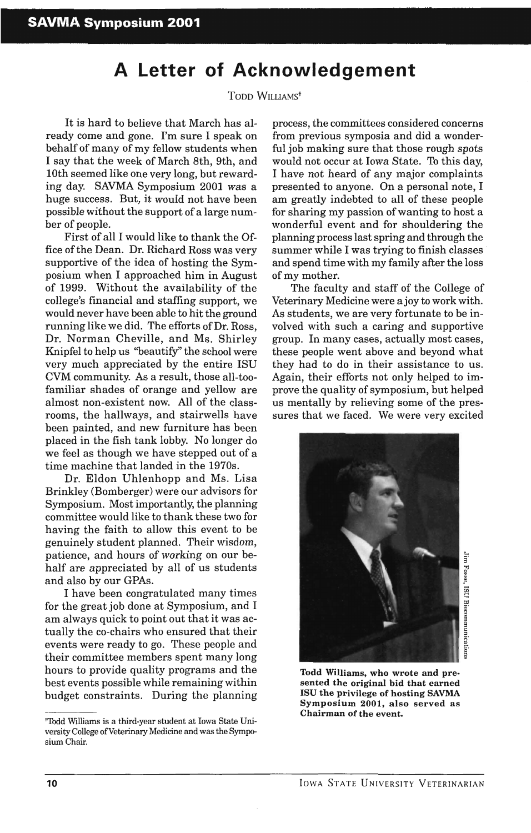## **A Letter of Acknowledgement**

## TODD WILLIAMst

It is hard to believe that March has already come and gone. I'm sure I speak on behalf of many of my fellow students when I say that the week of March 8th, 9th, and 10th seemed like one very long, but rewarding day. SAVMA Symposium 2001 was a huge success. But, it would not have been possible without the support of a large number of people.

First of all I would like to thank the Office of the Dean. Dr. Richard Ross was very supportive of the idea of hosting the Symposium when I approached him in August of 1999. Without the availability of the college's financial and staffing support, we would never have been able to hit the ground running like we did. The efforts of Dr. Ross, Dr. Norman Cheville, and Ms. Shirley Knipfel to help us "beautify" the school were very much appreciated by the entire ISU CVM community. As a result, those all-toofamiliar shades of orange and yellow are almost non-existent now. All of the classrooms, the hallways, and stairwells have been painted, and new furniture has been placed in the fish tank lobby. No longer do we feel as though we have stepped out of a time machine that landed in the 1970s.

Dr. Eldon Uhlenhopp and Ms. Lisa Brinkley (Bomberger) were our advisors for Symposium. Most importantly, the planning committee would like to thank these two for having the faith to allow this event to be genuinely student planned. Their wisdom, patience, and hours of working on our behalf are appreciated by all of us students and also by our GPAs.

I have been congratulated many times for the great job done at Symposium, and I am always quick to point out that it was actually the co-chairs who ensured that their events were ready to go. These people and their committee members spent many long hours to provide quality programs and the best events possible while remaining within budget constraints. During the planning process, the committees considered concerns from previous symposia and did a wonderful job making sure that those rough spots would not occur at Iowa State. To this day, I have not heard of any major complaints presented to anyone. On a personal note, I am greatly indebted to all of these people for sharing my passion of wanting to host a wonderful event and for shouldering the planning process last spring and through the summer while I was trying to finish classes and spend time with my family after the loss of my mother.

The faculty and staff of the College of Veterinary Medicine were ajoy to work with. As students, we are very fortunate to be involved with such a caring and supportive group. In many cases, actually most cases, these people went above and beyond what they had to do in their assistance to us. Again, their efforts not only helped to improve the quality of symposium, but helped us mentally by relieving some of the pressures that we faced. We were very excited



Todd Williams, who wrote and presented the original bid that earned ISU the privilege of hosting SAVMA Symposium 2001, also served as Chairman of the event.

<sup>&#</sup>x27;Thdd Williams is a third·year student at Iowa State University College of Veterinary Medicine and was the SymposiumChair.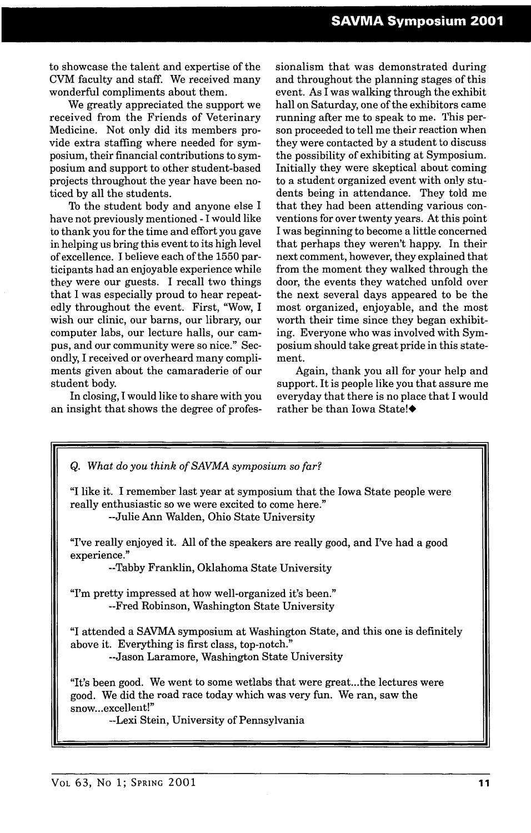to showcase the talent and expertise of the CVM faculty and staff. We received many wonderful compliments about them.

We greatly appreciated the support we received from the Friends of Veterinary Medicine. Not only did its members provide extra staffing where needed for symposium, their financial contributions to symposium and support to other student-based projects throughout the year have been noticed by all the students.

To the student body and anyone else I have not previously mentioned - I would like to thank you for the time and effort you gave in helping us bring this event to its high level of excellence. I believe each of the 1550 participants had an enjoyable experience while they were our guests. I recall two things that I was especially proud to hear repeatedly throughout the event. First, "Wow, I wish our clinic, our barns, our library, our computer labs, our lecture halls, our campus, and our community were so nice." Secondly, I received or overheard many compliments given about the camaraderie of our student body.

In closing, I would like to share with you an insight that shows the degree of professionalism that was demonstrated during and throughout the planning stages of this event. As I was walking through the exhibit hall on Saturday, one of the exhibitors came running after me to speak to me. This person proceeded to tell me their reaction when they were contacted by a student to discuss the possibility of exhibiting at Symposium. Initially they were skeptical about coming to a student organized event with only students being in attendance. They told me that they had been attending various conventions for over twenty years. At this point I was beginning to become a little concerned that perhaps they weren't happy. In their next comment, however, they explained that from the moment they walked through the door, the events they watched unfold over the next several days appeared to be the most organized, enjoyable, and the most worth their time since they began exhibiting. Everyone who was involved with Symposium should take great pride in this statement.

Again, thank you all for your help and support. It is people like you that assure me everyday that there is no place that I would rather be than Iowa State!◆

| Q. What do you think of SAVMA symposium so far?                                                                                                                                                                  |
|------------------------------------------------------------------------------------------------------------------------------------------------------------------------------------------------------------------|
| "I like it. I remember last year at symposium that the Iowa State people were<br>really enthusiastic so we were excited to come here."<br>--Julie Ann Walden, Ohio State University                              |
| "I've really enjoyed it. All of the speakers are really good, and I've had a good<br>experience."<br>--Tabby Franklin, Oklahoma State University                                                                 |
| "I'm pretty impressed at how well-organized it's been."<br>--Fred Robinson, Washington State University                                                                                                          |
| "I attended a SAVMA symposium at Washington State, and this one is definitely<br>above it. Everything is first class, top-notch."<br>--Jason Laramore, Washington State University                               |
| "It's been good. We went to some wetlabs that were greatthe lectures were<br>good. We did the road race today which was very fun. We ran, saw the<br>snowexcellent!"<br>--Lexi Stein, University of Pennsylvania |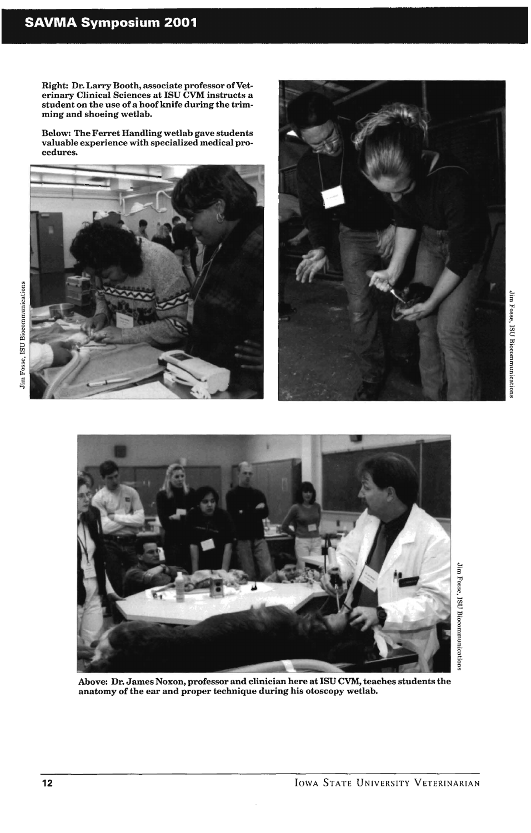## **SAVMA Symposium 2001**

Right: Dr. Larry Booth, associate professor of Veterinary Clinical Sciences at ISU CVM instructs a student on the use of a hoof knife during the trimming and shoeing wetlab.

Below: The Ferret Handling wetlab gave students valuable experience with specialized medical procedures.







Above: Dr. James Noxon, professor and clinician here at ISU CVM, teaches students the anatomy of the ear and proper technique during his otoscopy wetlab.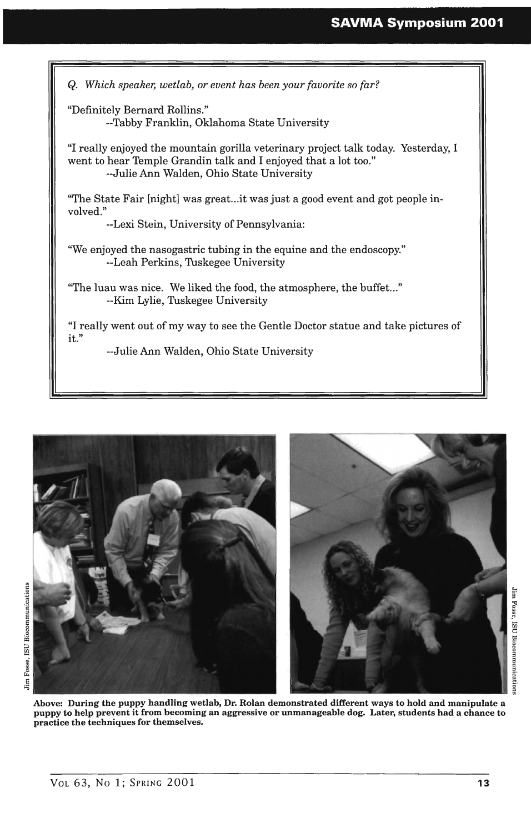## **SAVMA Symposium 2001**





Above: During the puppy handling wetlab, Dr. Rolan demonstrated different ways to hold and manipulate a puppy to help prevent it from becoming an aggressive or unmanageable dog. Later, students had a chance to practice the techniques for themselves.